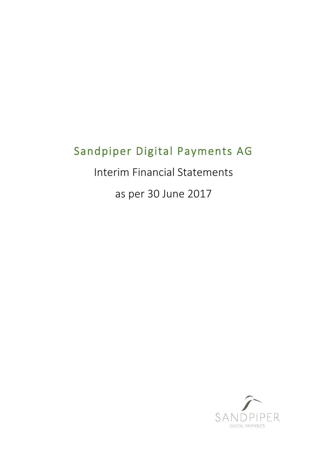# Sandpiper Digital Payments AG

Interim Financial Statements

as per 30 June 2017

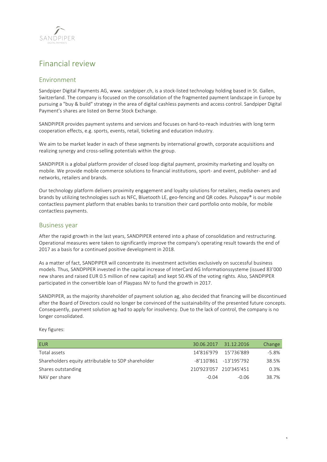

# Financial review

# Environment

Sandpiper Digital Payments AG, www. sandpiper.ch, is a stock-listed technology holding based in St. Gallen, Switzerland. The company is focused on the consolidation of the fragmented payment landscape in Europe by pursuing a "buy & build" strategy in the area of digital cashless payments and access control. Sandpiper Digital Payment's shares are listed on Berne Stock Exchange.

SANDPIPER provides payment systems and services and focuses on hard-to-reach industries with long term cooperation effects, e.g. sports, events, retail, ticketing and education industry.

We aim to be market leader in each of these segments by international growth, corporate acquisitions and realizing synergy and cross-selling potentials within the group.

SANDPIPER is a global platform provider of closed loop digital payment, proximity marketing and loyalty on mobile. We provide mobile commerce solutions to financial institutions, sport- and event, publisher- and ad networks, retailers and brands.

Our technology platform delivers proximity engagement and loyalty solutions for retailers, media owners and brands by utilizing technologies such as NFC, Bluetooth LE, geo-fencing and QR codes. Pulsopay® is our mobile contactless payment platform that enables banks to transition their card portfolio onto mobile, for mobile contactless payments.

# Business year

After the rapid growth in the last years, SANDPIPER entered into a phase of consolidation and restructuring. Operational measures were taken to significantly improve the company's operating result towards the end of 2017 as a basis for a continued positive development in 2018.

As a matter of fact, SANDPIPER will concentrate its investment activities exclusively on successful business models. Thus, SANDPIPER invested in the capital increase of InterCard AG Informationssysteme (issued 83'000 new shares and raised EUR 0.5 million of new capital) and kept 50.4% of the voting rights. Also, SANDPIPER participated in the convertible loan of Playpass NV to fund the growth in 2017.

SANDPIPER, as the majority shareholder of payment solution ag, also decided that financing will be discontinued after the Board of Directors could no longer be convinced of the sustainability of the presented future concepts. Consequently, payment solution ag had to apply for insolvency. Due to the lack of control, the company is no longer consolidated.

Key figures:

| EUR.                                                |                         | 30.06.2017 31.12.2016  | Change |
|-----------------------------------------------------|-------------------------|------------------------|--------|
| Total assets                                        |                         | 14'816'979  15'736'889 | -5.8%  |
| Shareholders equity attributable to SDP shareholder |                         | -8'110'861 -13'195'792 | 38.5%  |
| Shares outstanding                                  | 210'923'057 210'345'451 |                        | 0.3%   |
| NAV per share                                       | $-0.04$                 | -0.06                  | 38.7%  |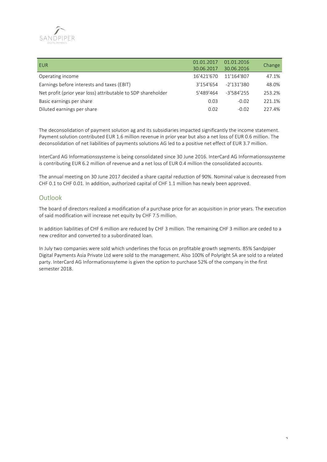

| EUR                                                          | 01.01.2017 | 01.01.2016 |        |
|--------------------------------------------------------------|------------|------------|--------|
|                                                              | 30.06.2017 | 30.06.2016 | Change |
| Operating income                                             | 16'421'670 | 11'164'807 | 47.1%  |
| Earnings before interests and taxes (EBIT)                   | 3'154'654  | -2'131'380 | 48.0%  |
| Net profit (prior year loss) attributable to SDP shareholder | 5'489'464  | -3'584'255 | 253.2% |
| Basic earnings per share                                     | 0.03       | $-0.02$    | 221.1% |
| Diluted earnings per share                                   | 0.02       | $-0.02$    | 227.4% |

The deconsolidation of payment solution ag and its subsidiaries impacted significantly the income statement. Payment solution contributed EUR 1.6 million revenue in prior year but also a net loss of EUR 0.6 million. The deconsolidation of net liabilities of payments solutions AG led to a positive net effect of EUR 3.7 million.

InterCard AG Informationssysteme is being consolidated since 30 June 2016. InterCard AG Informationssysteme is contributing EUR 6.2 million of revenue and a net loss of EUR 0.4 million the consolidated accounts.

The annual meeting on 30 June 2017 decided a share capital reduction of 90%. Nominal value is decreased from CHF 0.1 to CHF 0.01. In addition, authorized capital of CHF 1.1 million has newly been approved.

# Outlook

The board of directors realized a modification of a purchase price for an acquisition in prior years. The execution of said modification will increase net equity by CHF 7.5 million.

In addition liabilities of CHF 6 million are reduced by CHF 3 million. The remaining CHF 3 million are ceded to a new creditor and converted to a subordinated loan.

In July two companies were sold which underlines the focus on profitable growth segments. 85% Sandpiper Digital Payments Asia Private Ltd were sold to the management. Also 100% of Polyright SA are sold to a related party. InterCard AG Informationssyteme is given the option to purchase 52% of the company in the first semester 2018.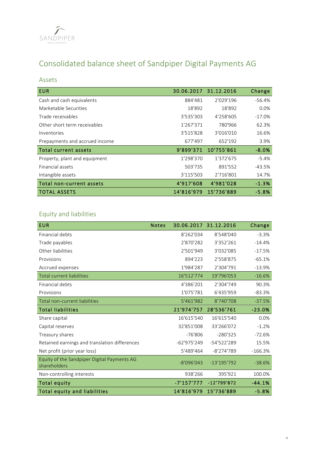

# Consolidated balance sheet of Sandpiper Digital Payments AG

# Assets

| <b>EUR</b>                     | 30.06.2017 31.12.2016 |            | Change   |
|--------------------------------|-----------------------|------------|----------|
| Cash and cash equivalents      | 884'481               | 2'029'196  | $-56.4%$ |
| Marketable Securities          | 18'892                | 18'892     | 0.0%     |
| Trade receivables              | 3'535'303             | 4'258'605  | $-17.0%$ |
| Other short term receivables   | 1'267'371             | 780'966    | 62.3%    |
| Inventories                    | 3'515'828             | 3'016'010  | 16.6%    |
| Prepayments and accrued income | 677'497               | 652'192    | 3.9%     |
| Total current assets           | 9'899'371             | 10'755'861 | $-8.0%$  |
| Property, plant and equipment  | 1'298'370             | 1'372'675  | $-5.4%$  |
| Financial assets               | 503'735               | 891'552    | $-43.5%$ |
| Intangible assets              | 3'115'503             | 2'716'801  | 14.7%    |
| Total non-current assets       | 4'917'608             | 4'981'028  | $-1.3%$  |
| TOTAL ASSETS                   | 14'816'979            | 15'736'889 | $-5.8%$  |

# Equity and liabilities

| <b>EUR</b>                                                  | <b>Notes</b> |               | 30.06.2017 31.12.2016 | Change    |
|-------------------------------------------------------------|--------------|---------------|-----------------------|-----------|
| Financial debts                                             |              | 8'262'034     | 8'548'040             | $-3.3%$   |
| Trade payables                                              |              | 2'870'282     | 3'352'261             | $-14.4%$  |
| Other liabilities                                           |              | 2'501'949     | 3'032'085             | $-17.5%$  |
| Provisions                                                  |              | 894'223       | 2'558'875             | $-65.1%$  |
| Accrued expenses                                            |              | 1'984'287     | 2'304'791             | $-13.9%$  |
| <b>Total current liabilities</b>                            |              | 16'512'774    | 19'796'053            | $-16.6%$  |
| Financial debts                                             |              | 4'386'201     | 2'304'749             | 90.3%     |
| Provisions                                                  |              | 1'075'781     | 6'435'959             | $-83.3%$  |
| Total non-current liabilities                               |              | 5'461'982     | 8'740'708             | $-37.5%$  |
| <b>Total liabilities</b>                                    |              | 21'974'757    | 28'536'761            | $-23.0%$  |
| Share capital                                               |              | 16'615'540    | 16'615'540            | 0.0%      |
| Capital reserves                                            |              | 32'851'008    | 33'266'072            | $-1.2%$   |
| Treasury shares                                             |              | $-76'806$     | $-280'325$            | $-72.6%$  |
| Retained earnings and translation differences               |              | $-62'975'249$ | -54'522'289           | 15.5%     |
| Net profit (prior year loss)                                |              | 5'489'464     | -8'274'789            | $-166.3%$ |
| Equity of the Sandpiper Digital Payments AG<br>shareholders |              | $-8'096'043$  | $-13'195'792$         | $-38.6%$  |
| Non-controlling interests                                   |              | 938'266       | 395'921               | 100.0%    |
| <b>Total equity</b>                                         |              | -7'157'777    | $-12'799'872$         | $-44.1%$  |
| <b>Total equity and liabilities</b>                         |              | 14'816'979    | 15'736'889            | $-5.8%$   |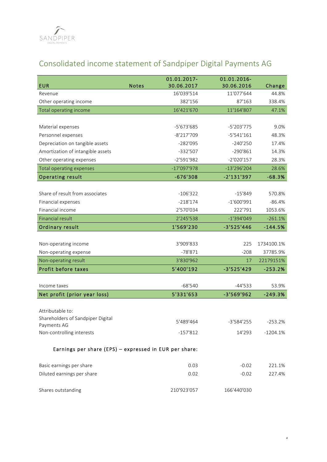

# Consolidated income statement of Sandpiper Digital Payments AG

| <b>EUR</b>                                             | <b>Notes</b> | 01.01.2017-<br>30.06.2017 | 01.01.2016-<br>30.06.2016 | Change     |
|--------------------------------------------------------|--------------|---------------------------|---------------------------|------------|
| Revenue                                                |              | 16'039'514                | 11'077'644                | 44.8%      |
| Other operating income                                 |              | 382'156                   | 87'163                    | 338.4%     |
| Total operating income                                 |              | 16'421'670                | 11'164'807                | 47.1%      |
|                                                        |              |                           |                           |            |
| Material expenses                                      |              | -5'673'685                | -5'203'775                | 9.0%       |
| Personnel expenses                                     |              | $-8'217'709$              | $-5'541'161$              | 48.3%      |
| Depreciation on tangible assets                        |              | $-282'095$                | $-240'250$                | 17.4%      |
| Amortization of intangible assets                      |              | $-332'507$                | $-290'861$                | 14.3%      |
| Other operating expenses                               |              | $-2'591'982$              | $-2'020'157$              | 28.3%      |
| Total operating expenses                               |              | $-17'097'978$             | $-13'296'204$             | 28.6%      |
| <b>Operating result</b>                                |              | $-676'308$                | $-2'131'397$              | $-68.3%$   |
|                                                        |              |                           |                           |            |
| Share of result from associates                        |              | $-106'322$                | $-15'849$                 | 570.8%     |
| Financial expenses                                     |              | $-218'174$                | $-1'600'991$              | $-86.4%$   |
| Financial income                                       |              | 2'570'034                 | 222'791                   | 1053.6%    |
| <b>Financial result</b>                                |              | 2'245'538                 | $-1'394'049$              | $-261.1%$  |
| Ordinary result                                        |              | 1'569'230                 | $-3'525'446$              | $-144.5%$  |
|                                                        |              |                           |                           |            |
| Non-operating income                                   |              | 3'909'833                 | 225                       | 1734100.1% |
| Non-operating expense                                  |              | $-78'871$                 | $-208$                    | 37785.9%   |
| Non-operating result                                   |              | 3'830'962                 | 17                        | 22179151%  |
| Profit before taxes                                    |              | 5'400'192                 | $-3'525'429$              | $-253.2%$  |
|                                                        |              |                           |                           |            |
| Income taxes                                           |              | $-68'540$                 | $-44'533$                 | 53.9%      |
| Net profit (prior year loss)                           |              | 5'331'653                 | $-3'569'962$              | $-249.3%$  |
|                                                        |              |                           |                           |            |
| Attributable to:                                       |              |                           |                           |            |
| Shareholders of Sandpiper Digital                      |              | 5'489'464                 | -3'584'255                | $-253.2%$  |
| Payments AG                                            |              |                           |                           |            |
| Non-controlling interests                              |              | $-157'812$                | 14'293                    | $-1204.1%$ |
| Earnings per share (EPS) - expressed in EUR per share: |              |                           |                           |            |
|                                                        |              |                           |                           |            |
| Basic earnings per share                               |              | 0.03                      | $-0.02$                   | 221.1%     |
| Diluted earnings per share                             |              | 0.02                      | $-0.02$                   | 227.4%     |
|                                                        |              |                           |                           |            |
| Shares outstanding                                     |              | 210'923'057               | 166'440'030               |            |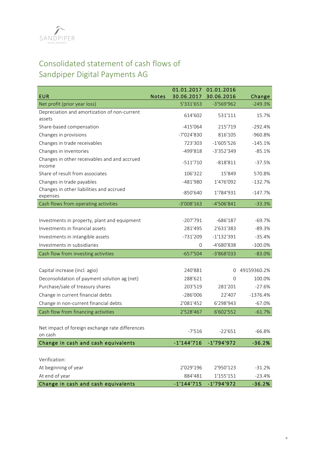

# Consolidated statement of cash flows of Sandpiper Digital Payments AG

| <b>EUR</b>                                                 | <b>Notes</b> | 01.01.2017<br>30.06.2017 | 01.01.2016<br>30.06.2016 | Change      |
|------------------------------------------------------------|--------------|--------------------------|--------------------------|-------------|
| Net profit (prior year loss)                               |              | 5'331'653                | $-3'569'962$             | $-249.3%$   |
| Depreciation and amortization of non-current<br>assets     |              | 614'602                  | 531'111                  | 15.7%       |
| Share-based compensation                                   |              | $-415'064$               | 215'719                  | $-292.4%$   |
| Changes in provisions                                      |              | $-7'024'830$             | 816'105                  | $-960.8%$   |
| Changes in trade receivables                               |              | 723'303                  | $-1'605'526$             | $-145.1%$   |
| Changes in inventories                                     |              | $-499'818$               | -3'352'349               | $-85.1%$    |
| Changes in other receivables and and accrued<br>income     |              | $-511'710$               | $-818'811$               | $-37.5%$    |
| Share of result from associates                            |              | 106'322                  | 15'849                   | 570.8%      |
| Changes in trade payables                                  |              | $-481'980$               | 1'476'092                | $-132.7%$   |
| Changes in other liabilities and accrued<br>expenses       |              | $-850'640$               | 1'784'931                | $-147.7%$   |
| Cash flows from operating activities                       |              | $-3'008'163$             | -4'506'841               | $-33.3%$    |
|                                                            |              |                          |                          |             |
| Investments in property, plant and equipment               |              | $-207'791$               | $-686'187$               | $-69.7%$    |
| Investments in financial assets                            |              | 281'495                  | 2'631'383                | $-89.3%$    |
| Investments in intangible assets                           |              | $-731'209$               | $-1'132'391$             | $-35.4%$    |
| Investments in subsidiaries                                |              | 0                        | -4'680'838               | $-100.0\%$  |
| Cash flow from investing activities                        |              | $-657'504$               | -3'868'033               | $-83.0%$    |
|                                                            |              |                          |                          |             |
| Capital increase (incl. agio)                              |              | 240'881                  | $\Omega$                 | 49159360.2% |
| Deconsolidation of payment solution ag (net)               |              | 288'621                  | $\Omega$                 | 100.0%      |
| Purchase/sale of treasury shares                           |              | 203'519                  | 281'201                  | $-27.6%$    |
| Change in current financial debts                          |              | $-286'006$               | 22'407                   | $-1376.4%$  |
| Change in non-current financial debts                      |              | 2'081'452                | 6'298'943                | $-67.0%$    |
| Cash flow from financing activities                        |              | 2'528'467                | 6'602'552                | $-61.7%$    |
|                                                            |              |                          |                          |             |
| Net impact of foreign exchange rate differences<br>on cash |              | $-7'516$                 | $-22'651$                | $-66.8%$    |
| Change in cash and cash equivalents                        |              | $-1'144'716$             | $-1'794'972$             | $-36.2%$    |
|                                                            |              |                          |                          |             |
| Verification:                                              |              |                          |                          |             |
| At beginning of year                                       |              | 2'029'196                | 2'950'123                | $-31.2%$    |
| At end of year                                             |              | 884'481                  | 1'155'151                | $-23.4%$    |
| Change in cash and cash equivalents                        |              | $-1'144'715$             | $-1'794'972$             | $-36.2%$    |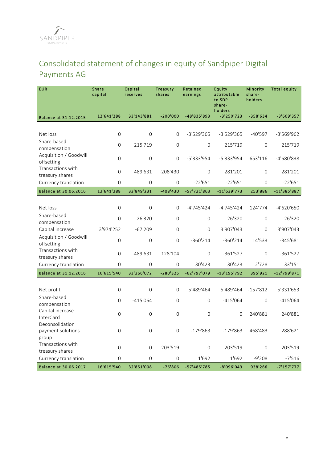# Consolidated statement of changes in equity of Sandpiper Digital Payments AG

| <b>EUR</b>                             | Share<br>capital | Capital<br>reserves | Treasury<br>shares | Retained<br>earnings | Equity<br>attributable<br>to SDP<br>share-<br>holders | Minority<br>share-<br>holders | <b>Total equity</b> |
|----------------------------------------|------------------|---------------------|--------------------|----------------------|-------------------------------------------------------|-------------------------------|---------------------|
| Balance at 31.12.2015                  | 12'641'288       | 33'143'881          | $-200'000$         | -48'835'893          | $-3'250'723$                                          | $-358'634$                    | $-3'609'357$        |
|                                        |                  |                     |                    |                      |                                                       |                               |                     |
| Net loss                               | $\mathbf 0$      | $\mathsf{O}\xspace$ | 0                  | -3'529'365           | -3'529'365                                            | $-40'597$                     | -3'569'962          |
| Share-based                            | 0                | 215'719             | 0                  | $\mathbf 0$          | 215'719                                               | $\mathbf{O}$                  | 215'719             |
| compensation<br>Acquisition / Goodwill |                  |                     |                    |                      |                                                       |                               |                     |
| offsetting                             | $\Omega$         | $\Omega$            | $\Omega$           | -5'333'954           | -5'333'954                                            | 653'116                       | -4'680'838          |
| Transactions with                      | 0                | 489'631             | $-208'430$         | $\mathbf 0$          | 281'201                                               | $\mathbf{0}$                  | 281'201             |
| treasury shares                        |                  |                     |                    |                      |                                                       |                               |                     |
| Currency translation                   | 0                | $\Omega$            | $\mathbf{O}$       | $-22'651$            | $-22'651$                                             | $\Omega$                      | $-22'651$           |
| Balance at 30.06.2016                  | 12'641'288       | 33'849'231          | $-408'430$         | -57'721'863          | $-11'639'773$                                         | 253'886                       | -11'385'887         |
|                                        |                  |                     |                    |                      |                                                       |                               |                     |
| Net loss<br>Share-based                | 0                | $\Omega$            | $\Omega$           | -4'745'424           | $-4'745'424$                                          | 124'774                       | -4'620'650          |
| compensation                           | $\Omega$         | $-26'320$           | $\Omega$           | $\Omega$             | $-26'320$                                             | $\Omega$                      | $-26'320$           |
| Capital increase                       | 3'974'252        | $-67'209$           | $\overline{0}$     | $\Omega$             | 3'907'043                                             | $\Omega$                      | 3'907'043           |
| Acquisition / Goodwill                 | $\Omega$         | $\mathsf{O}\xspace$ | $\Omega$           | $-360'214$           | $-360'214$                                            | 14'533                        | $-345'681$          |
| offsetting                             |                  |                     |                    |                      |                                                       |                               |                     |
| Transactions with<br>treasury shares   | 0                | $-489'631$          | 128'104            | $\Omega$             | $-361'527$                                            | $\Omega$                      | $-361'527$          |
| Currency translation                   | $\Omega$         | $\Omega$            | $\Omega$           | 30'423               | 30'423                                                | 2'728                         | 33'151              |
| Balance at 31.12.2016                  | 16'615'540       | 33'266'072          | $-280'325$         | -62'797'079          | $-13'195'792$                                         | 395'921                       | -12'799'871         |
|                                        |                  |                     |                    |                      |                                                       |                               |                     |
| Net profit                             | 0                | $\overline{0}$      | 0                  | 5'489'464            | 5'489'464                                             | $-157'812$                    | 5'331'653           |
| Share-based                            | 0                | $-415'064$          | 0                  | $\mathbf 0$          | $-415'064$                                            | $\overline{0}$                | $-415'064$          |
| compensation<br>Capital increase       |                  |                     |                    |                      |                                                       |                               |                     |
| <b>InterCard</b>                       | 0                | 0                   | $\Omega$           | $\Omega$             | $\Omega$                                              | 240'881                       | 240'881             |
| Deconsolidation                        |                  |                     |                    |                      |                                                       |                               |                     |
| payment solutions                      | 0                | 0                   | $\Omega$           | $-179'863$           | $-179'863$                                            | 468'483                       | 288'621             |
| group<br>Transactions with             |                  |                     |                    |                      |                                                       |                               |                     |
| treasury shares                        | 0                | 0                   | 203'519            | $\mathbf{O}$         | 203'519                                               | $\mathbf 0$                   | 203'519             |
| Currency translation                   | $\Omega$         | $\Omega$            | $\Omega$           | 1'692                | 1'692                                                 | $-9'208$                      | $-7'516$            |
| Balance at 30.06.2017                  | 16'615'540       | 32'851'008          | $-76'806$          | -57'485'785          | -8'096'043                                            | 938'266                       | $-7'157'777$        |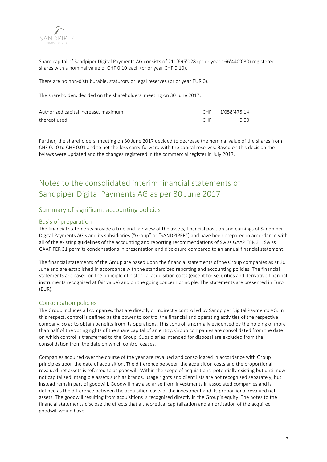

Share capital of Sandpiper Digital Payments AG consists of 211'695'028 (prior year 166'440'030) registered shares with a nominal value of CHF 0.10 each (prior year CHF 0.10).

There are no non-distributable, statutory or legal reserves (prior year EUR 0).

The shareholders decided on the shareholders' meeting on 30 June 2017:

| Authorized capital increase, maximum |            | CHF 1'058'475.14 |
|--------------------------------------|------------|------------------|
| thereof used                         | <b>CHE</b> | 0.00             |

Further, the shareholders' meeting on 30 June 2017 decided to decrease the nominal value of the shares from CHF 0.10 to CHF 0.01 and to net the loss carry-forward with the capital reserves. Based on this decision the bylaws were updated and the changes registered in the commercial register in July 2017.

# Notes to the consolidated interim financial statements of Sandpiper Digital Payments AG as per 30 June 2017

# Summary of significant accounting policies

# Basis of preparation

The financial statements provide a true and fair view of the assets, financial position and earnings of Sandpiper Digital Payments AG's and its subsidiaries ("Group" or "SANDPIPER") and have been prepared in accordance with all of the existing guidelines of the accounting and reporting recommendations of Swiss GAAP FER 31. Swiss GAAP FER 31 permits condensations in presentation and disclosure compared to an annual financial statement.

The financial statements of the Group are based upon the financial statements of the Group companies as at 30 June and are established in accordance with the standardized reporting and accounting policies. The financial statements are based on the principle of historical acquisition costs (except for securities and derivative financial instruments recognized at fair value) and on the going concern principle. The statements are presented in Euro (EUR).

# Consolidation policies

The Group includes all companies that are directly or indirectly controlled by Sandpiper Digital Payments AG. In this respect, control is defined as the power to control the financial and operating activities of the respective company, so as to obtain benefits from its operations. This control is normally evidenced by the holding of more than half of the voting rights of the share capital of an entity. Group companies are consolidated from the date on which control is transferred to the Group. Subsidiaries intended for disposal are excluded from the consolidation from the date on which control ceases.

Companies acquired over the course of the year are revalued and consolidated in accordance with Group principles upon the date of acquisition. The difference between the acquisition costs and the proportional revalued net assets is referred to as goodwill. Within the scope of acquisitions, potentially existing but until now not capitalized intangible assets such as brands, usage rights and client lists are not recognized separately, but instead remain part of goodwill. Goodwill may also arise from investments in associated companies and is defined as the difference between the acquisition costs of the investment and its proportional revalued net assets. The goodwill resulting from acquisitions is recognized directly in the Group's equity. The notes to the financial statements disclose the effects that a theoretical capitalization and amortization of the acquired goodwill would have.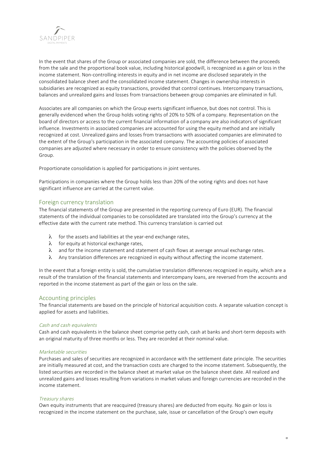

In the event that shares of the Group or associated companies are sold, the difference between the proceeds from the sale and the proportional book value, including historical goodwill, is recognized as a gain or loss in the income statement. Non-controlling interests in equity and in net income are disclosed separately in the consolidated balance sheet and the consolidated income statement. Changes in ownership interests in subsidiaries are recognized as equity transactions, provided that control continues. Intercompany transactions, balances and unrealized gains and losses from transactions between group companies are eliminated in full.

Associates are all companies on which the Group exerts significant influence, but does not control. This is generally evidenced when the Group holds voting rights of 20% to 50% of a company. Representation on the board of directors or access to the current financial information of a company are also indicators of significant influence. Investments in associated companies are accounted for using the equity method and are initially recognized at cost. Unrealized gains and losses from transactions with associated companies are eliminated to the extent of the Group's participation in the associated company. The accounting policies of associated companies are adjusted where necessary in order to ensure consistency with the policies observed by the Group.

Proportionate consolidation is applied for participations in joint ventures.

Participations in companies where the Group holds less than 20% of the voting rights and does not have significant influence are carried at the current value.

# Foreign currency translation

The financial statements of the Group are presented in the reporting currency of Euro (EUR). The financial statements of the individual companies to be consolidated are translated into the Group's currency at the effective date with the current rate method. This currency translation is carried out

- $\lambda$  for the assets and liabilities at the year-end exchange rates,
- $\lambda$  for equity at historical exchange rates,
- $\lambda$  and for the income statement and statement of cash flows at average annual exchange rates.
- λ Any translation differences are recognized in equity without affecting the income statement.

In the event that a foreign entity is sold, the cumulative translation differences recognized in equity, which are a result of the translation of the financial statements and intercompany loans, are reversed from the accounts and reported in the income statement as part of the gain or loss on the sale.

# Accounting principles

The financial statements are based on the principle of historical acquisition costs. A separate valuation concept is applied for assets and liabilities.

## Cash and cash equivalents

Cash and cash equivalents in the balance sheet comprise petty cash, cash at banks and short-term deposits with an original maturity of three months or less. They are recorded at their nominal value.

## Marketable securities

Purchases and sales of securities are recognized in accordance with the settlement date principle. The securities are initially measured at cost, and the transaction costs are charged to the income statement. Subsequently, the listed securities are recorded in the balance sheet at market value on the balance sheet date. All realized and unrealized gains and losses resulting from variations in market values and foreign currencies are recorded in the income statement.

## Treasury shares

Own equity instruments that are reacquired (treasury shares) are deducted from equity. No gain or loss is recognized in the income statement on the purchase, sale, issue or cancellation of the Group's own equity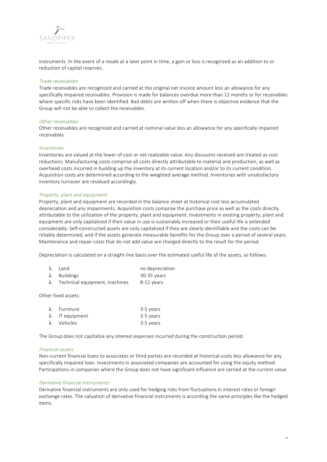

instruments. In the event of a resale at a later point in time, a gain or loss is recognized as an addition to or reduction of capital reserves.

## Trade receivables

Trade receivables are recognized and carried at the original net invoice amount less an allowance for any specifically impaired receivables. Provision is made for balances overdue more than 12 months or for receivables where specific risks have been identified. Bad debts are written off when there is objective evidence that the Group will not be able to collect the receivables.

#### Other receivables

Other receivables are recognized and carried at nominal value less an allowance for any specifically impaired receivables.

#### Inventories

Inventories are valued at the lower of cost or net realizable value. Any discounts received are treated as cost reductions. Manufacturing costs comprise all costs directly attributable to material and production, as well as overhead costs incurred in building up the inventory at its current location and/or to its current condition. Acquisition costs are determined according to the weighted average method. Inventories with unsatisfactory inventory turnover are revalued accordingly.

## Property, plant and equipment

Property, plant and equipment are recorded in the balance sheet at historical cost less accumulated depreciation and any impairments. Acquisition costs comprise the purchase price as well as the costs directly attributable to the utilization of the property, plant and equipment. Investments in existing property, plant and equipment are only capitalized if their value in use is sustainably increased or their useful life is extended considerably. Self-constructed assets are only capitalized if they are clearly identifiable and the costs can be reliably determined, and if the assets generate measurable benefits for the Group over a period of several years. Maintenance and repair costs that do not add value are charged directly to the result for the period.

Depreciation is calculated on a straight-line basis over the estimated useful life of the assets, as follows:

| $\lambda$ Land                          | no depreciation |
|-----------------------------------------|-----------------|
| $\lambda$ Buildings                     | $30-35$ years   |
| $\lambda$ Technical equipment, machines | 8-12 years      |

Other fixed assets:

| $\lambda$ Furniture    | 3-5 years |
|------------------------|-----------|
| $\lambda$ IT equipment | 3-5 years |
| $\lambda$ Vehicles     | 3-5 years |

The Group does not capitalize any interest expenses incurred during the construction period.

#### Financial assets

Non-current financial loans to associates or third parties are recorded at historical costs less allowance for any specifically impaired loan. Investments in associated companies are accounted for using the equity method. Participations in companies where the Group does not have significant influence are carried at the current value.

## Derivative financial instruments

Derivative financial instruments are only used for hedging risks from fluctuations in interest rates or foreign exchange rates. The valuation of derivative financial instruments is according the same principles like the hedged items.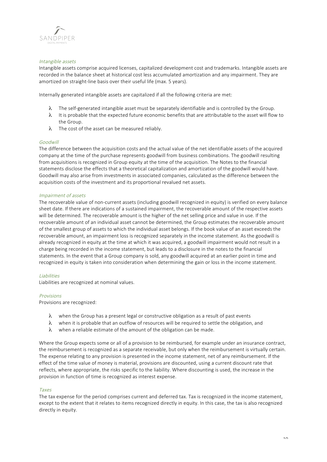

## Intangible assets

Intangible assets comprise acquired licenses, capitalized development cost and trademarks. Intangible assets are recorded in the balance sheet at historical cost less accumulated amortization and any impairment. They are amortized on straight-line basis over their useful life (max. 5 years).

Internally generated intangible assets are capitalized if all the following criteria are met:

- λ The self-generated intangible asset must be separately identifiable and is controlled by the Group.
- $\lambda$  It is probable that the expected future economic benefits that are attributable to the asset will flow to the Group.
- $\lambda$  The cost of the asset can be measured reliably.

## Goodwill

The difference between the acquisition costs and the actual value of the net identifiable assets of the acquired company at the time of the purchase represents goodwill from business combinations. The goodwill resulting from acquisitions is recognized in Group equity at the time of the acquisition. The Notes to the financial statements disclose the effects that a theoretical capitalization and amortization of the goodwill would have. Goodwill may also arise from investments in associated companies, calculated as the difference between the acquisition costs of the investment and its proportional revalued net assets.

## Impairment of assets

The recoverable value of non-current assets (including goodwill recognized in equity) is verified on every balance sheet date. If there are indications of a sustained impairment, the recoverable amount of the respective assets will be determined. The recoverable amount is the higher of the net selling price and value in use. If the recoverable amount of an individual asset cannot be determined, the Group estimates the recoverable amount of the smallest group of assets to which the individual asset belongs. If the book value of an asset exceeds the recoverable amount, an impairment loss is recognized separately in the income statement. As the goodwill is already recognized in equity at the time at which it was acquired, a goodwill impairment would not result in a charge being recorded in the income statement, but leads to a disclosure in the notes to the financial statements. In the event that a Group company is sold, any goodwill acquired at an earlier point in time and recognized in equity is taken into consideration when determining the gain or loss in the income statement.

## Liabilities

Liabilities are recognized at nominal values.

## Provisions

Provisions are recognized:

- $\lambda$  when the Group has a present legal or constructive obligation as a result of past events
- $\lambda$  when it is probable that an outflow of resources will be required to settle the obligation, and
- $\lambda$  when a reliable estimate of the amount of the obligation can be made.

Where the Group expects some or all of a provision to be reimbursed, for example under an insurance contract, the reimbursement is recognized as a separate receivable, but only when the reimbursement is virtually certain. The expense relating to any provision is presented in the income statement, net of any reimbursement. If the effect of the time value of money is material, provisions are discounted, using a current discount rate that reflects, where appropriate, the risks specific to the liability. Where discounting is used, the increase in the provision in function of time is recognized as interest expense.

## Taxes

The tax expense for the period comprises current and deferred tax. Tax is recognized in the income statement, except to the extent that it relates to items recognized directly in equity. In this case, the tax is also recognized directly in equity.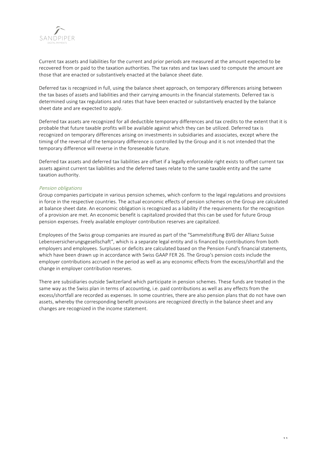

Current tax assets and liabilities for the current and prior periods are measured at the amount expected to be recovered from or paid to the taxation authorities. The tax rates and tax laws used to compute the amount are those that are enacted or substantively enacted at the balance sheet date.

Deferred tax is recognized in full, using the balance sheet approach, on temporary differences arising between the tax bases of assets and liabilities and their carrying amounts in the financial statements. Deferred tax is determined using tax regulations and rates that have been enacted or substantively enacted by the balance sheet date and are expected to apply.

Deferred tax assets are recognized for all deductible temporary differences and tax credits to the extent that it is probable that future taxable profits will be available against which they can be utilized. Deferred tax is recognized on temporary differences arising on investments in subsidiaries and associates, except where the timing of the reversal of the temporary difference is controlled by the Group and it is not intended that the temporary difference will reverse in the foreseeable future.

Deferred tax assets and deferred tax liabilities are offset if a legally enforceable right exists to offset current tax assets against current tax liabilities and the deferred taxes relate to the same taxable entity and the same taxation authority.

## Pension obligations

Group companies participate in various pension schemes, which conform to the legal regulations and provisions in force in the respective countries. The actual economic effects of pension schemes on the Group are calculated at balance sheet date. An economic obligation is recognized as a liability if the requirements for the recognition of a provision are met. An economic benefit is capitalized provided that this can be used for future Group pension expenses. Freely available employer contribution reserves are capitalized.

Employees of the Swiss group companies are insured as part of the "Sammelstiftung BVG der Allianz Suisse Lebensversicherungsgesellschaft", which is a separate legal entity and is financed by contributions from both employers and employees. Surpluses or deficits are calculated based on the Pension Fund's financial statements, which have been drawn up in accordance with Swiss GAAP FER 26. The Group's pension costs include the employer contributions accrued in the period as well as any economic effects from the excess/shortfall and the change in employer contribution reserves.

There are subsidiaries outside Switzerland which participate in pension schemes. These funds are treated in the same way as the Swiss plan in terms of accounting, i.e. paid contributions as well as any effects from the excess/shortfall are recorded as expenses. In some countries, there are also pension plans that do not have own assets, whereby the corresponding benefit provisions are recognized directly in the balance sheet and any changes are recognized in the income statement.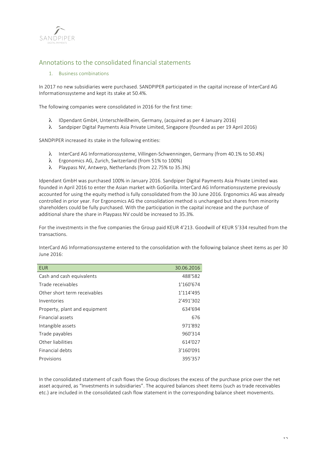

# Annotations to the consolidated financial statements

# 1. Business combinations

In 2017 no new subsidiaries were purchased. SANDPIPER participated in the capital increase of InterCard AG Informationssysteme and kept its stake at 50.4%.

The following companies were consolidated in 2016 for the first time:

- λ IDpendant GmbH, Unterschleißheim, Germany, (acquired as per 4 January 2016)
- λ Sandpiper Digital Payments Asia Private Limited, Singapore (founded as per 19 April 2016)

SANDPIPER increased its stake in the following entities:

- λ InterCard AG Informationssysteme, Villingen-Schwenningen, Germany (from 40.1% to 50.4%)
- λ Ergonomics AG, Zurich, Switzerland (from 51% to 100%)
- λ Playpass NV, Antwerp, Netherlands (from 22.75% to 35.3%)

Idpendant GmbH was purchased 100% in January 2016. Sandpiper Digital Payments Asia Private Limited was founded in April 2016 to enter the Asian market with GoGorilla. InterCard AG Informationssysteme previously accounted for using the equity method is fully consolidated from the 30 June 2016. Ergonomics AG was already controlled in prior year. For Ergonomics AG the consolidation method is unchanged but shares from minority shareholders could be fully purchased. With the participation in the capital increase and the purchase of additional share the share in Playpass NV could be increased to 35.3%.

For the investments in the five companies the Group paid KEUR 4'213. Goodwill of KEUR 5'334 resulted from the transactions.

InterCard AG Informationssysteme entered to the consolidation with the following balance sheet items as per 30 June 2016:

| <b>EUR</b>                    | 30.06.2016 |
|-------------------------------|------------|
| Cash and cash equivalents     | 488'582    |
| Trade receivables             | 1'160'674  |
| Other short term receivables  | 1'114'495  |
| Inventories                   | 2'491'302  |
| Property, plant and equipment | 634'694    |
| Financial assets              | 676        |
| Intangible assets             | 971'892    |
| Trade payables                | 960'314    |
| Other liabilities             | 614'027    |
| Financial debts               | 3'160'091  |
| Provisions                    | 395'357    |

In the consolidated statement of cash flows the Group discloses the excess of the purchase price over the net asset acquired, as "Investments in subsidiaries". The acquired balances sheet items (such as trade receivables etc.) are included in the consolidated cash flow statement in the corresponding balance sheet movements.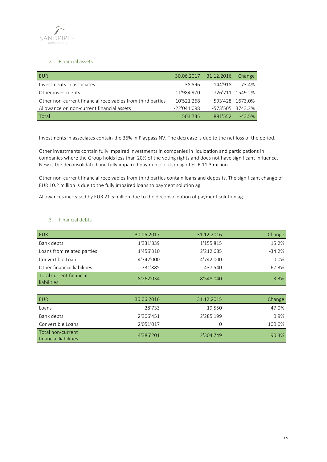

## 2. Financial assets

| EUR                                                        |               | 30.06.2017 31.12.2016 | <b>Change</b>   |
|------------------------------------------------------------|---------------|-----------------------|-----------------|
| Investments in associates                                  | 38'596        | 144'918               | $-73.4%$        |
| Other investments                                          | 11'984'970    |                       | 726'711 1549.2% |
| Other non-current financial receivables from third parties | 10'521'268    |                       | 593'428 1673.0% |
| Allowance on non-current financial assets                  | $-22'041'098$ | -573'505 3743.2%      |                 |
| Total                                                      | 503'735       | 891'552               | $-43.5%$        |

Investments in associates contain the 36% in Playpass NV. The decrease is due to the net loss of the period.

Other investments contain fully impaired investments in companies in liquidation and participations in companies where the Group holds less than 20% of the voting rights and does not have significant influence. New is the deconsolidated and fully impaired payment solution ag of EUR 11.3 million.

Other non-current financial receivables from third parties contain loans and deposits. The significant change of EUR 10.2 million is due to the fully impaired loans to payment solution ag.

Allowances increased by EUR 21.5 million due to the deconsolidation of payment solution ag.

# 3. Financial debts

| <b>EUR</b>                                    | 30.06.2017 | 31.12.2016 | Change   |
|-----------------------------------------------|------------|------------|----------|
| Bank debts                                    | 1'331'839  | 1'155'815  | 15.2%    |
| Loans from related parties                    | 1'456'310  | 2'212'685  | $-34.2%$ |
| Convertible Loan                              | 4'742'000  | 4'742'000  | 0.0%     |
| Other financial liabilities                   | 731'885    | 437'540    | 67.3%    |
| Total current financial<br><b>liabilities</b> | 8'262'034  | 8'548'040  | $-3.3%$  |

| <b>EUR</b>                                 | 30.06.2016 | 31.12.2015 | Change |
|--------------------------------------------|------------|------------|--------|
| Loans                                      | 28'733     | 19'550     | 47.0%  |
| Bank debts                                 | 2'306'451  | 2'285'199  | 0.9%   |
| Convertible Loans                          | 2'051'017  | O          | 100.0% |
| Total non-current<br>financial liabilities | 4'386'201  | 2'304'749  | 90.3%  |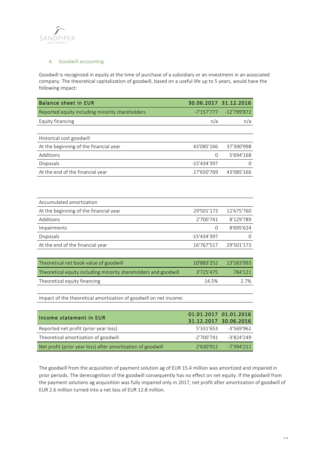

# 4. Goodwill accounting

Goodwill is recognized in equity at the time of purchase of a subsidiary or an investment in an associated company. The theoretical capitalization of goodwill, based on a useful life up to 5 years, would have the following impact:

|               | 30.06.2017 31.12.2016 |
|---------------|-----------------------|
| $-7'157'777$  | $-12'799'872$         |
| n/a           | n/a                   |
|               |                       |
|               |                       |
| 43'085'166    | 37'390'998            |
| 0             | 5'694'168             |
| $-15'434'397$ | 0                     |
| 27'650'769    | 43'085'166            |
|               |                       |
|               |                       |
|               |                       |
| 29'501'173    | 12'675'760            |
| 2'700'741     | 8'129'789             |
| 0             | 8'695'624             |
| $-15'434'397$ | 0                     |
| 16'767'517    | 29'501'173            |
|               |                       |
| 10'883'252    | 13'583'993            |
| 3'725'475     | 784'121               |
| 14.5%         | 2.7%                  |
|               |                       |
|               |                       |
|               |                       |
|               | 01.01.2017 01.01.2016 |
|               |                       |

| Theome statement in EUR                                     | 31.12.2017 30.06.2016 |                         |
|-------------------------------------------------------------|-----------------------|-------------------------|
| Reported net profit (prior year loss)                       |                       | 5'331'653 -3'569'962    |
| Theoretical amortization of goodwill                        |                       | $-2'700'741 -3'824'249$ |
| Net profit (prior year loss) after amortization of goodwill |                       | $2'630'912 -7'394'211$  |

The goodwill from the acquisition of payment solution ag of EUR 15.4 million was amortized and impaired in prior periods. The derecognition of the goodwill consequently has no effect on net equity. If the goodwill from the payment solutions ag acquisition was fully impaired only in 2017, net profit after amortization of goodwill of EUR 2.6 million turned into a net loss of EUR 12.8 million.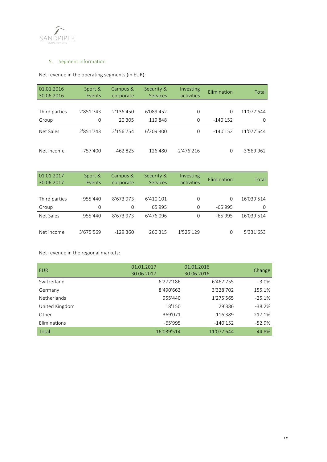

# 5. Segment information

Net revenue in the operating segments (in EUR):

| 01.01.2016<br>30.06.2016 | Sport &<br>Events | Campus &<br>corporate | Security &<br><b>Services</b> | <b>Investing</b><br>activities | Elimination | Total        |
|--------------------------|-------------------|-----------------------|-------------------------------|--------------------------------|-------------|--------------|
|                          |                   |                       |                               |                                |             |              |
| Third parties            | 2'851'743         | 2'136'450             | 6'089'452                     | 0                              | $\Omega$    | 11'077'644   |
| Group                    | 0                 | 20'305                | 119'848                       | 0                              | $-140'152$  | 0            |
| Net Sales                | 2'851'743         | 2'156'754             | 6'209'300                     | $\Omega$                       | $-140'152$  | 11'077'644   |
| Net income               | $-757'400$        | $-462'825$            | 126'480                       | $-2'476'216$                   | $\Omega$    | $-3'569'962$ |

| 01.01.2017<br>30.06.2017 | Sport &<br>Events | Campus &<br>corporate | Security &<br>Services | Investing<br>activities | Elimination | Total      |
|--------------------------|-------------------|-----------------------|------------------------|-------------------------|-------------|------------|
|                          |                   |                       |                        |                         |             |            |
| Third parties            | 955'440           | 8'673'973             | 6'410'101              | $\Omega$                | 0           | 16'039'514 |
| Group                    | 0                 | $\Omega$              | 65'995                 | $\Omega$                | $-65'995$   | $\Omega$   |
| Net Sales                | 955'440           | 8'673'973             | 6'476'096              | 0                       | $-65'995$   | 16'039'514 |
| Net income               | 3'675'569         | $-129'360$            | 260'315                | 1'525'129               | 0           | 5'331'653  |

Net revenue in the regional markets:

| <b>EUR</b>         | 01.01.2017<br>30.06.2017 | 01.01.2016<br>30.06.2016 | Change   |
|--------------------|--------------------------|--------------------------|----------|
| Switzerland        | 6'272'186                | 6'467'755                | $-3.0%$  |
| Germany            | 8'490'663                | 3'328'702                | 155.1%   |
| <b>Netherlands</b> | 955'440                  | 1'275'565                | $-25.1%$ |
| United Kingdom     | 18'150                   | 29'386                   | $-38.2%$ |
| Other              | 369'071                  | 116'389                  | 217.1%   |
| Eliminations       | $-65'995$                | $-140'152$               | $-52.9%$ |
| Total              | 16'039'514               | 11'077'644               | 44.8%    |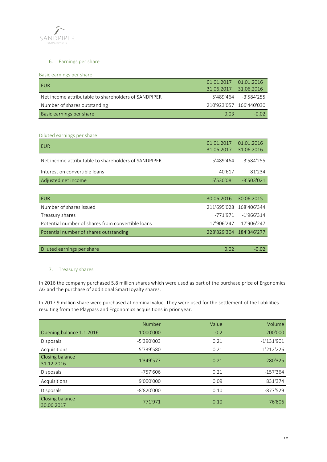

# 6. Earnings per share

# Basic earnings per share

| EUR                                                  | 01.01.2017 01.01.2016   |                      |
|------------------------------------------------------|-------------------------|----------------------|
|                                                      | 31.06.2017 31.06.2016   |                      |
| Net income attributable to shareholders of SANDPIPER |                         | 5'489'464 -3'584'255 |
| Number of shares outstanding                         | 210'923'057 166'440'030 |                      |
| Basic earnings per share                             | 0.03                    | $-0.02$              |

# Diluted earnings per share

| <b>EUR</b>                                           | 01.01.2017<br>31.06.2017 | 01.01.2016<br>31.06.2016 |
|------------------------------------------------------|--------------------------|--------------------------|
|                                                      |                          |                          |
| Net income attributable to shareholders of SANDPIPER | 5'489'464                | $-3'584'255$             |
| Interest on convertible loans                        | 40'617                   | 81'234                   |
| Adjusted net income                                  | 5'530'081                | $-3'503'021$             |
|                                                      |                          |                          |
| <b>EUR</b>                                           | 30.06.2016               | 30.06.2015               |
| Number of shares issued                              | 211'695'028              | 168'406'344              |
| Treasury shares                                      | -771'971                 | $-1'966'314$             |
| Potential number of shares from convertible loans    | 17'906'247               | 17'906'247               |
| Potential number of shares outstanding               |                          | 228'829'304 184'346'277  |
|                                                      |                          |                          |
| Diluted earnings per share                           | 0.02                     | $-0.02$                  |

# 7. Treasury shares

In 2016 the company purchased 5.8 million shares which were used as part of the purchase price of Ergonomics AG and the purchase of additional SmartLoyalty shares.

In 2017 9 million share were purchased at nominal value. They were used for the settlement of the liablilities resulting from the Playpass and Ergonomics acquisitions in prior year.

|                               | Number       | Value | Volume       |
|-------------------------------|--------------|-------|--------------|
| Opening balance 1.1.2016      | 1'000'000    | 0.2   | 200'000      |
| <b>Disposals</b>              | $-5'390'003$ | 0.21  | $-1'131'901$ |
| Acquisitions                  | 5'739'580    | 0.21  | 1'212'226    |
| Closing balance<br>31.12.2016 | 1'349'577    | 0.21  | 280'325      |
| Disposals                     | $-757'606$   | 0.21  | $-157'364$   |
| Acquisitions                  | 9'000'000    | 0.09  | 831'374      |
| Disposals                     | $-8'820'000$ | 0.10  | $-877'529$   |
| Closing balance<br>30.06.2017 | 771'971      | 0.10  | 76'806       |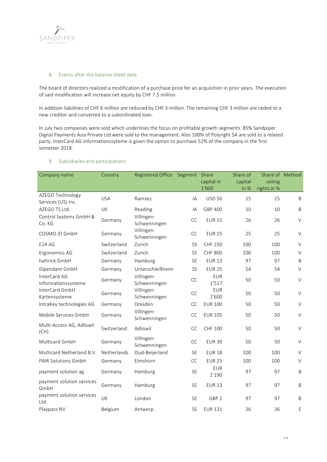

# 8. Events after the balance sheet date

The board of directors realized a modification of a purchase price for an acquisition in prior years. The execution of said modification will increase net equity by CHF 7.5 million.

In addition liabilities of CHF 6 million are reduced by CHF 3 million. The remaining CHF 3 million are ceded to a new creditor and converted to a subordinated loan.

In July two companies were sold which underlines the focus on profitable growth segments. 85% Sandpiper Digital Payments Asia Private Ltd were sold to the management. Also 100% of Polyright SA are sold to a related party. InterCard AG Informationssyteme is given the option to purchase 52% of the company in the first semester 2018.

| Company name                           | Country     | <b>Registered Office</b>   | Segment Share | capital in<br>1'000 | Share of<br>capital<br>in % | Share of Method<br>voting<br>rights in % |              |
|----------------------------------------|-------------|----------------------------|---------------|---------------------|-----------------------------|------------------------------------------|--------------|
| AZEGO Technology<br>Services (US) Inc. | <b>USA</b>  | Ramsey                     | IA            | <b>USD 50</b>       | 15                          | 15                                       | B            |
| AZEGO TS Ltd.                          | UK          | Reading                    | IA            | GBP 400             | 10                          | 10                                       | $\sf B$      |
| Control Systems GmbH &<br>Co. KG       | Germany     | Villingen-<br>Schwenningen | <b>CC</b>     | <b>EUR 15</b>       | 26                          | 26                                       | $\vee$       |
| COSMO.ID GmbH                          | Germany     | Villingen-<br>Schwenningen | CC            | <b>EUR 25</b>       | 25                          | 25                                       | $\vee$       |
| <b>E24 AG</b>                          | Switzerland | Zurich                     | <b>SS</b>     | <b>CHF 250</b>      | 100                         | 100                                      | $\vee$       |
| Ergonomics AG                          | Switzerland | Zurich                     | <b>SS</b>     | <b>CHF 800</b>      | 100                         | 100                                      | $\vee$       |
| hattrick GmbH                          | Germany     | Hamburg                    | SE            | <b>EUR 13</b>       | 97                          | 97                                       | B            |
| IDpendant GmbH                         | Germany     | Unterschleißheim           | SS            | <b>EUR 25</b>       | 54                          | 54                                       | $\vee$       |
| InterCard AG<br>Informationssysteme    | Germany     | Villingen-<br>Schwenningen | CC            | <b>EUR</b><br>1'517 | 50                          | 50                                       | $\vee$       |
| InterCard GmbH<br>Kartensysteme        | Germany     | Villingen-<br>Schwenningen | CC            | <b>EUR</b><br>1'600 | 50                          | 50                                       | $\vee$       |
| IntraKey technologies AG               | Germany     | Dresden                    | CC            | <b>EUR 100</b>      | 50                          | 50                                       | $\vee$       |
| Mobile Services GmbH                   | Germany     | Villingen-<br>Schwenningen | CC            | <b>EUR 105</b>      | 50                          | 50                                       | $\vee$       |
| Multi-Access AG, Adliswil<br>(CH)      | Switzerland | Adliswil                   | <b>CC</b>     | CHF 100             | 50                          | 50                                       | $\vee$       |
| Multicard GmbH                         | Germany     | Villingen-<br>Schwenningen | <b>CC</b>     | <b>EUR 30</b>       | 50                          | 50                                       | $\vee$       |
| Multicard Netherland B.V.              | Netherlands | Oud-Beijerland             | <b>SE</b>     | <b>EUR 18</b>       | 100                         | 100                                      | $\vee$       |
| <b>PAIR Solutions GmbH</b>             | Germany     | Elmshorn                   | <b>CC</b>     | <b>EUR 25</b>       | 100                         | 100                                      | $\vee$       |
| payment solution ag                    | Germany     | Hamburg                    | SE            | <b>EUR</b><br>1'190 | 97                          | 97                                       | $\mathsf{B}$ |
| payment solution services<br>GmbH      | Germany     | Hamburg                    | SE            | <b>EUR 13</b>       | 97                          | 97                                       | $\mathsf B$  |
| payment solution services<br>Ltd.      | UK          | London                     | SE            | GBP <sub>2</sub>    | 97                          | 97                                       | $\mathsf B$  |
| Playpass NV                            | Belgium     | Antwerp                    | SS            | <b>EUR 131</b>      | 36                          | 36                                       | E            |

## 9. Subsidiaries and participations